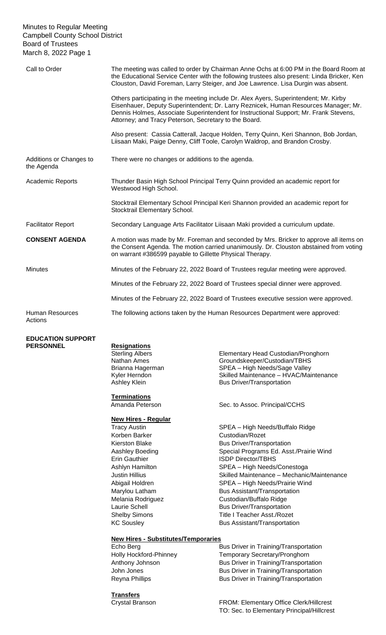### Minutes to Regular Meeting Campbell County School District Board of Trustees March 8, 2022 Page 1

| Call to Order                         | The meeting was called to order by Chairman Anne Ochs at 6:00 PM in the Board Room at<br>the Educational Service Center with the following trustees also present: Linda Bricker, Ken<br>Clouston, David Foreman, Larry Steiger, and Joe Lawrence. Lisa Durgin was absent.                                                      |  |
|---------------------------------------|--------------------------------------------------------------------------------------------------------------------------------------------------------------------------------------------------------------------------------------------------------------------------------------------------------------------------------|--|
|                                       | Others participating in the meeting include Dr. Alex Ayers, Superintendent; Mr. Kirby<br>Eisenhauer, Deputy Superintendent; Dr. Larry Reznicek, Human Resources Manager; Mr.<br>Dennis Holmes, Associate Superintendent for Instructional Support; Mr. Frank Stevens,<br>Attorney; and Tracy Peterson, Secretary to the Board. |  |
|                                       | Also present: Cassia Catterall, Jacque Holden, Terry Quinn, Keri Shannon, Bob Jordan,<br>Liisaan Maki, Paige Denny, Cliff Toole, Carolyn Waldrop, and Brandon Crosby.                                                                                                                                                          |  |
| Additions or Changes to<br>the Agenda | There were no changes or additions to the agenda.                                                                                                                                                                                                                                                                              |  |
| <b>Academic Reports</b>               | Thunder Basin High School Principal Terry Quinn provided an academic report for<br>Westwood High School.                                                                                                                                                                                                                       |  |
|                                       | Stocktrail Elementary School Principal Keri Shannon provided an academic report for<br>Stocktrail Elementary School.                                                                                                                                                                                                           |  |
| <b>Facilitator Report</b>             | Secondary Language Arts Facilitator Liisaan Maki provided a curriculum update.                                                                                                                                                                                                                                                 |  |
| <b>CONSENT AGENDA</b>                 | A motion was made by Mr. Foreman and seconded by Mrs. Bricker to approve all items on<br>the Consent Agenda. The motion carried unanimously. Dr. Clouston abstained from voting<br>on warrant #386599 payable to Gillette Physical Therapy.                                                                                    |  |
| <b>Minutes</b>                        | Minutes of the February 22, 2022 Board of Trustees regular meeting were approved.                                                                                                                                                                                                                                              |  |
|                                       | Minutes of the February 22, 2022 Board of Trustees special dinner were approved.                                                                                                                                                                                                                                               |  |
|                                       | Minutes of the February 22, 2022 Board of Trustees executive session were approved.                                                                                                                                                                                                                                            |  |
| <b>Human Resources</b><br>Actions     | The following actions taken by the Human Resources Department were approved:                                                                                                                                                                                                                                                   |  |

# **EDUCATION SUPPORT**

**Resignations** 

**Terminations** 

## **New Hires - Regular**

Korben Barker Custodian/Rozet

**New Hires - Substitutes/Temporaries**

**Transfers**

Sterling Albers Elementary Head Custodian/Pronghorn<br>
Nathan Ames Groundskeeper/Custodian/TBHS Groundskeeper/Custodian/TBHS Brianna Hagerman SPEA – High Needs/Sage Valley Kyler Herndon **Skilled Maintenance – HVAC/Maintenance** Ashley Klein **Bus Driver/Transportation** 

Amanda Peterson Sec. to Assoc. Principal/CCHS

Tracy Austin SPEA – High Needs/Buffalo Ridge Kierston Blake Bus Driver/Transportation Aashley Boeding **Special Programs Ed. Asst./Prairie Wind** Erin Gauthier **ISDP** Director/TBHS Ashlyn Hamilton SPEA – High Needs/Conestoga Justin Hillius Skilled Maintenance – Mechanic/Maintenance Abigail Holdren SPEA – High Needs/Prairie Wind Marylou Latham Bus Assistant/Transportation Melania Rodriguez **Custodian/Buffalo Ridge** Laurie Schell **Bus Driver/Transportation** Shelby Simons Title I Teacher Asst./Rozet KC Sousley **Bus Assistant/Transportation** 

Echo Berg **Bus Driver in Training/Transportation** Holly Hockford-Phinney Temporary Secretary/Pronghorn Anthony Johnson **Bus Driver in Training/Transportation** John Jones **Bus Driver in Training/Transportation** Reyna Phillips **Bus Driver in Training/Transportation** 

Crystal Branson FROM: Elementary Office Clerk/Hillcrest TO: Sec. to Elementary Principal/Hillcrest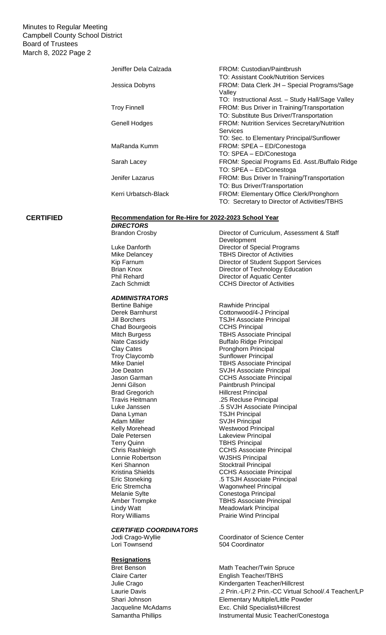### Minutes to Regular Meeting Campbell County School District Board of Trustees March 8, 2022 Page 2

| Jeniffer Dela Calzada | FROM: Custodian/Paintbrush                            |
|-----------------------|-------------------------------------------------------|
|                       | TO: Assistant Cook/Nutrition Services                 |
| Jessica Dobyns        | FROM: Data Clerk JH - Special Programs/Sage<br>Valley |
|                       | TO: Instructional Asst. - Study Hall/Sage Valley      |
| <b>Troy Finnell</b>   | FROM: Bus Driver in Training/Transportation           |
|                       | TO: Substitute Bus Driver/Transportation              |
| <b>Genell Hodges</b>  | <b>FROM: Nutrition Services Secretary/Nutrition</b>   |
|                       | Services                                              |
|                       | TO: Sec. to Elementary Principal/Sunflower            |
| MaRanda Kumm          | FROM: SPEA - ED/Conestoga                             |
|                       | TO: SPEA - ED/Conestoga                               |
| Sarah Lacey           | FROM: Special Programs Ed. Asst./Buffalo Ridge        |
|                       | TO: SPEA - ED/Conestoga                               |
| Jenifer Lazarus       | FROM: Bus Driver In Training/Transportation           |
|                       | TO: Bus Driver/Transportation                         |
| Kerri Urbatsch-Black  | FROM: Elementary Office Clerk/Pronghorn               |
|                       | TO: Secretary to Director of Activities/TBHS          |

#### **CERTIFIED Recommendation for Re-Hire for 2022-2023 School Year** *DIRECTORS*

*ADMINISTRATORS* Chad Bourgeois Dana Lyman TSJH Principal Lonnie Robertson<br>Keri Shannon

#### *CERTIFIED COORDINATORS*

### **Resignations**

Brandon Crosby Director of Curriculum, Assessment & Staff Development Luke Danforth Director of Special Programs<br>
Mike Delancey TBHS Director of Activities TBHS Director of Activities Kip Farnum **Director of Student Support Services** Brian Knox **Director of Technology Education** Phil Rehard<br>
Zach Schmidt<br>
Zach Schmidt<br>
CCHS Director of Activities CCHS Director of Activities

Rawhide Principal Derek Barnhurst Cottonwood/4-J Principal Jill Borchers<br>
CHS Principal<br>
CCHS Principal Mitch Burgess TBHS Associate Principal<br>Nate Cassidy Suffalo Ridge Principal Buffalo Ridge Principal Clay Cates **Pronghorn Principal** Troy Claycomb Sunflower Principal Mike Daniel **TBHS Associate Principal**<br>
Joe Deaton **TBHS Associate Principal** Joe Deaton **SVJH Associate Principal**<br>Jason Garman **STAL COLOGY COLOGY CCHS Associate Principal** Jenni Gilson **Paintbrush Principal**<br>
Brad Gregorich **Principal**<br>
Hillcrest Principal Hillcrest Principal Travis Heitmann .25 Recluse Principal Luke Janssen .5 SVJH Associate Principal SVJH Principal Kelly Morehead Westwood Principal Dale Petersen Lakeview Principal<br>
Terry Quinn TBHS Principal **TBHS Principal** Chris Rashleigh CCHS Associate Principal<br>
Lonnie Robertson MUSHS Principal Stocktrail Principal Kristina Shields<br>
Eric Stoneking<br>
CCHS Associate Principal<br>
5 TSJH Associate Principal .5 TSJH Associate Principal Eric Stremcha Wagonwheel Principal Melanie Sylte **Conestoga Principal** Amber Trompke<br>
Lindy Watt<br>
Lindy Watt<br>
TBHS Associate Principal<br>
Meadowlark Principal **Meadowlark Principal** Rory Williams **Prairie Wind Principal** 

Jodi Crago-Wyllie Coordinator of Science Center<br>
Lori Townsend Coordinator<br>
504 Coordinator 504 Coordinator

Bret Benson Math Teacher/Twin Spruce Claire Carter **English Teacher/TBHS** Julie Crago **Kindergarten Teacher/Hillcrest** Laurie Davis .2 Prin.-LP/.2 Prin.-CC Virtual School/.4 Teacher/LP Shari Johnson Elementary Multiple/Little Powder Jacqueline McAdams Exc. Child Specialist/Hillcrest Samantha Phillips **Instrumental Music Teacher/Conestoga**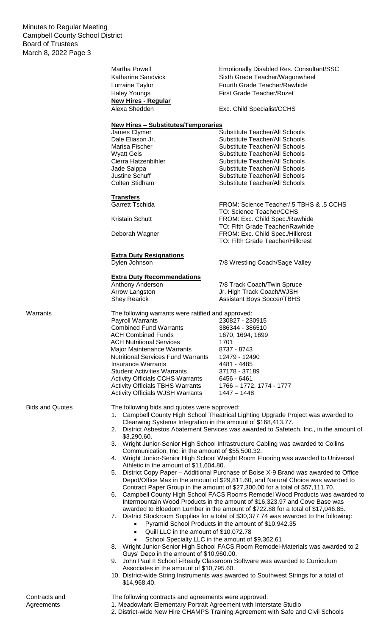Minutes to Regular Meeting Campbell County School District Board of Trustees March 8, 2022 Page 3

|                        | Martha Powell<br>Katharine Sandvick                                                                                                                                         | <b>Emotionally Disabled Res. Consultant/SSC</b><br>Sixth Grade Teacher/Wagonwheel       |  |  |
|------------------------|-----------------------------------------------------------------------------------------------------------------------------------------------------------------------------|-----------------------------------------------------------------------------------------|--|--|
|                        | Lorraine Taylor                                                                                                                                                             | Fourth Grade Teacher/Rawhide                                                            |  |  |
|                        | <b>Haley Youngs</b>                                                                                                                                                         | First Grade Teacher/Rozet                                                               |  |  |
|                        | <b>New Hires - Regular</b><br>Alexa Shedden                                                                                                                                 | Exc. Child Specialist/CCHS                                                              |  |  |
|                        |                                                                                                                                                                             |                                                                                         |  |  |
|                        | <b>New Hires - Substitutes/Temporaries</b>                                                                                                                                  |                                                                                         |  |  |
|                        | James Clymer                                                                                                                                                                | <b>Substitute Teacher/All Schools</b>                                                   |  |  |
|                        | Dale Eliason Jr.                                                                                                                                                            | Substitute Teacher/All Schools                                                          |  |  |
|                        | Marisa Fischer                                                                                                                                                              | Substitute Teacher/All Schools<br>Substitute Teacher/All Schools                        |  |  |
|                        | <b>Wyatt Geis</b><br>Cierra Hatzenbihler                                                                                                                                    | Substitute Teacher/All Schools                                                          |  |  |
|                        | Jade Saippa                                                                                                                                                                 | Substitute Teacher/All Schools                                                          |  |  |
|                        | Justine Schuff                                                                                                                                                              | Substitute Teacher/All Schools                                                          |  |  |
|                        | Colten Stidham                                                                                                                                                              | Substitute Teacher/All Schools                                                          |  |  |
|                        | <b>Transfers</b>                                                                                                                                                            |                                                                                         |  |  |
|                        | <b>Garrett Tschida</b>                                                                                                                                                      | FROM: Science Teacher/.5 TBHS & .5 CCHS                                                 |  |  |
|                        |                                                                                                                                                                             | TO: Science Teacher/CCHS                                                                |  |  |
|                        | Kristain Schutt                                                                                                                                                             | FROM: Exc. Child Spec./Rawhide<br>TO: Fifth Grade Teacher/Rawhide                       |  |  |
|                        | Deborah Wagner                                                                                                                                                              | FROM: Exc. Child Spec./Hillcrest                                                        |  |  |
|                        |                                                                                                                                                                             | TO: Fifth Grade Teacher/Hillcrest                                                       |  |  |
|                        | <b>Extra Duty Resignations</b>                                                                                                                                              |                                                                                         |  |  |
|                        | Dylen Johnson                                                                                                                                                               | 7/8 Wrestling Coach/Sage Valley                                                         |  |  |
|                        | <b>Extra Duty Recommendations</b>                                                                                                                                           |                                                                                         |  |  |
|                        | Anthony Anderson                                                                                                                                                            | 7/8 Track Coach/Twin Spruce                                                             |  |  |
|                        | Arrow Langston                                                                                                                                                              | Jr. High Track Coach/WJSH                                                               |  |  |
|                        | <b>Shey Rearick</b>                                                                                                                                                         | <b>Assistant Boys Soccer/TBHS</b>                                                       |  |  |
| Warrants               | The following warrants were ratified and approved:                                                                                                                          |                                                                                         |  |  |
|                        | Payroll Warrants                                                                                                                                                            | 230827 - 230915                                                                         |  |  |
|                        | <b>Combined Fund Warrants</b>                                                                                                                                               | 386344 - 386510                                                                         |  |  |
|                        | <b>ACH Combined Funds</b>                                                                                                                                                   | 1670, 1694, 1699                                                                        |  |  |
|                        | <b>ACH Nutritional Services</b><br>Major Maintenance Warrants                                                                                                               | 1701<br>8737 - 8743                                                                     |  |  |
|                        | <b>Nutritional Services Fund Warrants</b>                                                                                                                                   | 12479 - 12490                                                                           |  |  |
|                        | <b>Insurance Warrants</b>                                                                                                                                                   | 4481 - 4485                                                                             |  |  |
|                        | <b>Student Activities Warrants</b>                                                                                                                                          | 37178 - 37189                                                                           |  |  |
|                        | <b>Activity Officials CCHS Warrants</b>                                                                                                                                     | 6456 - 6461                                                                             |  |  |
|                        | <b>Activity Officials TBHS Warrants</b>                                                                                                                                     | 1766 - 1772, 1774 - 1777                                                                |  |  |
|                        | <b>Activity Officials WJSH Warrants</b>                                                                                                                                     | 1447 - 1448                                                                             |  |  |
| <b>Bids and Quotes</b> | The following bids and quotes were approved:                                                                                                                                |                                                                                         |  |  |
|                        |                                                                                                                                                                             | 1. Campbell County High School Theatrical Lighting Upgrade Project was awarded to       |  |  |
|                        | Clearwing Systems Integration in the amount of \$168,413.77.                                                                                                                |                                                                                         |  |  |
|                        | \$3,290.60.                                                                                                                                                                 | 2. District Asbestos Abatement Services was awarded to Safetech, Inc., in the amount of |  |  |
|                        |                                                                                                                                                                             | 3. Wright Junior-Senior High School Infrastructure Cabling was awarded to Collins       |  |  |
|                        | Communication, Inc, in the amount of \$55,500.32.                                                                                                                           |                                                                                         |  |  |
|                        | 4. Wright Junior-Senior High School Weight Room Flooring was awarded to Universal<br>Athletic in the amount of \$11,604.80.                                                 |                                                                                         |  |  |
|                        |                                                                                                                                                                             | 5. District Copy Paper – Additional Purchase of Boise X-9 Brand was awarded to Office   |  |  |
|                        |                                                                                                                                                                             | Depot/Office Max in the amount of \$29,811.60, and Natural Choice was awarded to        |  |  |
|                        |                                                                                                                                                                             | Contract Paper Group in the amount of \$27,300.00 for a total of \$57,111.70.           |  |  |
|                        | 6.                                                                                                                                                                          | Campbell County High School FACS Rooms Remodel Wood Products was awarded to             |  |  |
|                        |                                                                                                                                                                             | Intermountain Wood Products in the amount of \$16,323.97 and Cove Base was              |  |  |
|                        | awarded to Bloedorn Lumber in the amount of \$722.88 for a total of \$17,046.85.<br>7. District Stockroom Supplies for a total of \$30,377.74 was awarded to the following: |                                                                                         |  |  |
|                        | Pyramid School Products in the amount of \$10,942.35                                                                                                                        |                                                                                         |  |  |
|                        | Quill LLC in the amount of \$10,072.78<br>$\bullet$                                                                                                                         |                                                                                         |  |  |
|                        | School Specialty LLC in the amount of \$9,362.61                                                                                                                            |                                                                                         |  |  |
|                        |                                                                                                                                                                             | 8. Wright Junior-Senior High School FACS Room Remodel-Materials was awarded to 2        |  |  |
|                        | Guys' Deco in the amount of \$10,960.00.                                                                                                                                    |                                                                                         |  |  |
|                        | Associates in the amount of \$10,795.60.                                                                                                                                    | 9. John Paul II School i-Ready Classroom Software was awarded to Curriculum             |  |  |
|                        |                                                                                                                                                                             | 10. District-wide String Instruments was awarded to Southwest Strings for a total of    |  |  |
|                        | \$14,968.40.                                                                                                                                                                |                                                                                         |  |  |

#### The following contracts and agreements were approved:

- 1. Meadowlark Elementary Portrait Agreement with Interstate Studio
- 2. District-wide New Hire CHAMPS Training Agreement with Safe and Civil Schools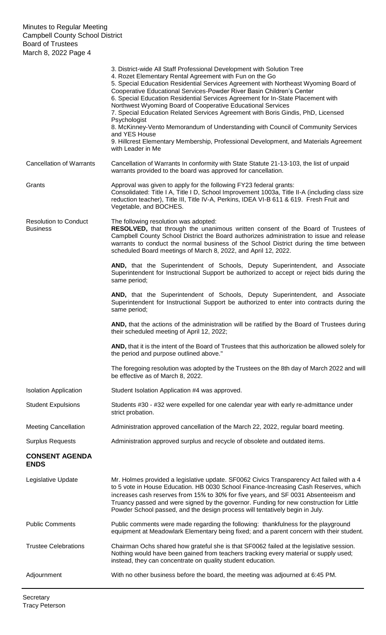|                                                 | 3. District-wide All Staff Professional Development with Solution Tree<br>4. Rozet Elementary Rental Agreement with Fun on the Go<br>5. Special Education Residential Services Agreement with Northeast Wyoming Board of<br>Cooperative Educational Services-Powder River Basin Children's Center<br>6. Special Education Residential Services Agreement for In-State Placement with<br>Northwest Wyoming Board of Cooperative Educational Services<br>7. Special Education Related Services Agreement with Boris Gindis, PhD, Licensed<br>Psychologist<br>8. McKinney-Vento Memorandum of Understanding with Council of Community Services<br>and YES House<br>9. Hillcrest Elementary Membership, Professional Development, and Materials Agreement<br>with Leader in Me |
|-------------------------------------------------|----------------------------------------------------------------------------------------------------------------------------------------------------------------------------------------------------------------------------------------------------------------------------------------------------------------------------------------------------------------------------------------------------------------------------------------------------------------------------------------------------------------------------------------------------------------------------------------------------------------------------------------------------------------------------------------------------------------------------------------------------------------------------|
| <b>Cancellation of Warrants</b>                 | Cancellation of Warrants In conformity with State Statute 21-13-103, the list of unpaid<br>warrants provided to the board was approved for cancellation.                                                                                                                                                                                                                                                                                                                                                                                                                                                                                                                                                                                                                   |
| Grants                                          | Approval was given to apply for the following FY23 federal grants:<br>Consolidated: Title I A, Title I D, School Improvement 1003a, Title II-A (including class size<br>reduction teacher), Title III, Title IV-A, Perkins, IDEA VI-B 611 & 619. Fresh Fruit and<br>Vegetable, and BOCHES.                                                                                                                                                                                                                                                                                                                                                                                                                                                                                 |
| <b>Resolution to Conduct</b><br><b>Business</b> | The following resolution was adopted:<br>RESOLVED, that through the unanimous written consent of the Board of Trustees of<br>Campbell County School District the Board authorizes administration to issue and release<br>warrants to conduct the normal business of the School District during the time between<br>scheduled Board meetings of March 8, 2022, and April 12, 2022.                                                                                                                                                                                                                                                                                                                                                                                          |
|                                                 | AND, that the Superintendent of Schools, Deputy Superintendent, and Associate<br>Superintendent for Instructional Support be authorized to accept or reject bids during the<br>same period;                                                                                                                                                                                                                                                                                                                                                                                                                                                                                                                                                                                |
|                                                 | AND, that the Superintendent of Schools, Deputy Superintendent, and Associate<br>Superintendent for Instructional Support be authorized to enter into contracts during the<br>same period;                                                                                                                                                                                                                                                                                                                                                                                                                                                                                                                                                                                 |
|                                                 | AND, that the actions of the administration will be ratified by the Board of Trustees during<br>their scheduled meeting of April 12, 2022;                                                                                                                                                                                                                                                                                                                                                                                                                                                                                                                                                                                                                                 |
|                                                 | AND, that it is the intent of the Board of Trustees that this authorization be allowed solely for<br>the period and purpose outlined above."                                                                                                                                                                                                                                                                                                                                                                                                                                                                                                                                                                                                                               |
|                                                 | The foregoing resolution was adopted by the Trustees on the 8th day of March 2022 and will<br>be effective as of March 8, 2022.                                                                                                                                                                                                                                                                                                                                                                                                                                                                                                                                                                                                                                            |
| <b>Isolation Application</b>                    | Student Isolation Application #4 was approved.                                                                                                                                                                                                                                                                                                                                                                                                                                                                                                                                                                                                                                                                                                                             |
| <b>Student Expulsions</b>                       | Students #30 - #32 were expelled for one calendar year with early re-admittance under<br>strict probation.                                                                                                                                                                                                                                                                                                                                                                                                                                                                                                                                                                                                                                                                 |
| <b>Meeting Cancellation</b>                     | Administration approved cancellation of the March 22, 2022, regular board meeting.                                                                                                                                                                                                                                                                                                                                                                                                                                                                                                                                                                                                                                                                                         |
| <b>Surplus Requests</b>                         | Administration approved surplus and recycle of obsolete and outdated items.                                                                                                                                                                                                                                                                                                                                                                                                                                                                                                                                                                                                                                                                                                |
| <b>CONSENT AGENDA</b><br><b>ENDS</b>            |                                                                                                                                                                                                                                                                                                                                                                                                                                                                                                                                                                                                                                                                                                                                                                            |
| Legislative Update                              | Mr. Holmes provided a legislative update. SF0062 Civics Transparency Act failed with a 4<br>to 5 vote in House Education. HB 0030 School Finance-Increasing Cash Reserves, which<br>increases cash reserves from 15% to 30% for five years, and SF 0031 Absenteeism and<br>Truancy passed and were signed by the governor. Funding for new construction for Little<br>Powder School passed, and the design process will tentatively begin in July.                                                                                                                                                                                                                                                                                                                         |
| <b>Public Comments</b>                          | Public comments were made regarding the following: thankfulness for the playground<br>equipment at Meadowlark Elementary being fixed; and a parent concern with their student.                                                                                                                                                                                                                                                                                                                                                                                                                                                                                                                                                                                             |
| <b>Trustee Celebrations</b>                     | Chairman Ochs shared how grateful she is that SF0062 failed at the legislative session.<br>Nothing would have been gained from teachers tracking every material or supply used;<br>instead, they can concentrate on quality student education.                                                                                                                                                                                                                                                                                                                                                                                                                                                                                                                             |
| Adjournment                                     | With no other business before the board, the meeting was adjourned at 6:45 PM.                                                                                                                                                                                                                                                                                                                                                                                                                                                                                                                                                                                                                                                                                             |
|                                                 |                                                                                                                                                                                                                                                                                                                                                                                                                                                                                                                                                                                                                                                                                                                                                                            |